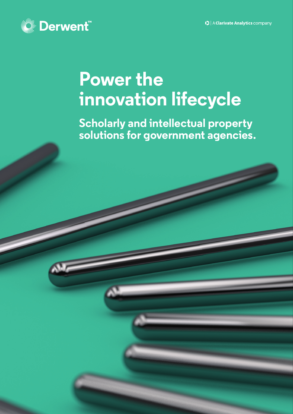

# **Power the innovation lifecycle**

**Scholarly and intellectual property solutions for government agencies.**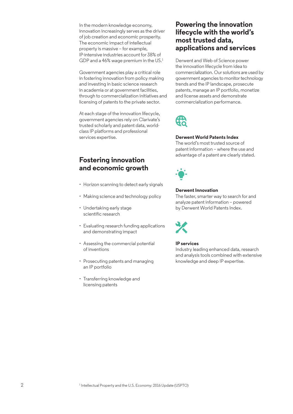In the modern knowledge economy, innovation increasingly serves as the driver of job creation and economic prosperity. The economic impact of intellectual property is massive – for example, IP-intensive industries account for 38% of GDP and a  $46\%$  wage premium in the US. $<sup>1</sup>$ </sup>

Government agencies play a critical role in fostering innovation from policy making and investing in basic science research in academia or at government facilities, through to commercialization initiatives and licensing of patents to the private sector.

At each stage of the innovation lifecycle, government agencies rely on Clarivate's trusted scholarly and patent data, worldclass IP platforms and professional services expertise.

## **Fostering innovation and economic growth**

- Horizon scanning to detect early signals
- Making science and technology policy
- Undertaking early stage scientific research
- Evaluating research funding applications and demonstrating impact
- Assessing the commercial potential of inventions
- Prosecuting patents and managing an IP portfolio
- Transferring knowledge and licensing patents

### **Powering the innovation lifecycle with the world's most trusted data, applications and services**

Derwent and Web of Science power the innovation lifecycle from idea to commercialization. Our solutions are used by government agencies to monitor technology trends and the IP landscape, prosecute patents, manage an IP portfolio, monetize and license assets and demonstrate commercialization performance.



### **Derwent World Patents Index**

The world's most trusted source of patent information – where the use and advantage of a patent are clearly stated.



### **Derwent Innovation**

The faster, smarter way to search for and analyze patent information – powered by Derwent World Patents Index.



#### **IP services**

Industry leading enhanced data, research and analysis tools combined with extensive knowledge and deep IP expertise.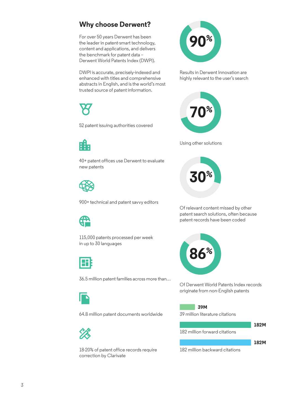# **Why choose Derwent?**

For over 50 years Derwent has been the leader in patent-smart technology, content and applications, and delivers the benchmark for patent data – Derwent World Patents Index (DWPI).

DWPI is accurate, precisely-indexed and enhanced with titles and comprehensive abstracts in English, and is the world's most trusted source of patent information.



52 patent issuing authorities covered



40+ patent offices use Derwent to evaluate new patents



900+ technical and patent savvy editors



115,000 patents processed per week in up to 30 languages



36.5 million patent families across more than…



64.8 million patent documents worldwide



18-20% of patent office records require correction by Clarivate



Results in Derwent Innovation are highly relevant to the user's search



Using other solutions



Of relevant content missed by other patent search solutions, often because patent records have been coded



Of Derwent World Patents Index records originate from non-English patents

39 million literature citations **39M**



182 million backward citations